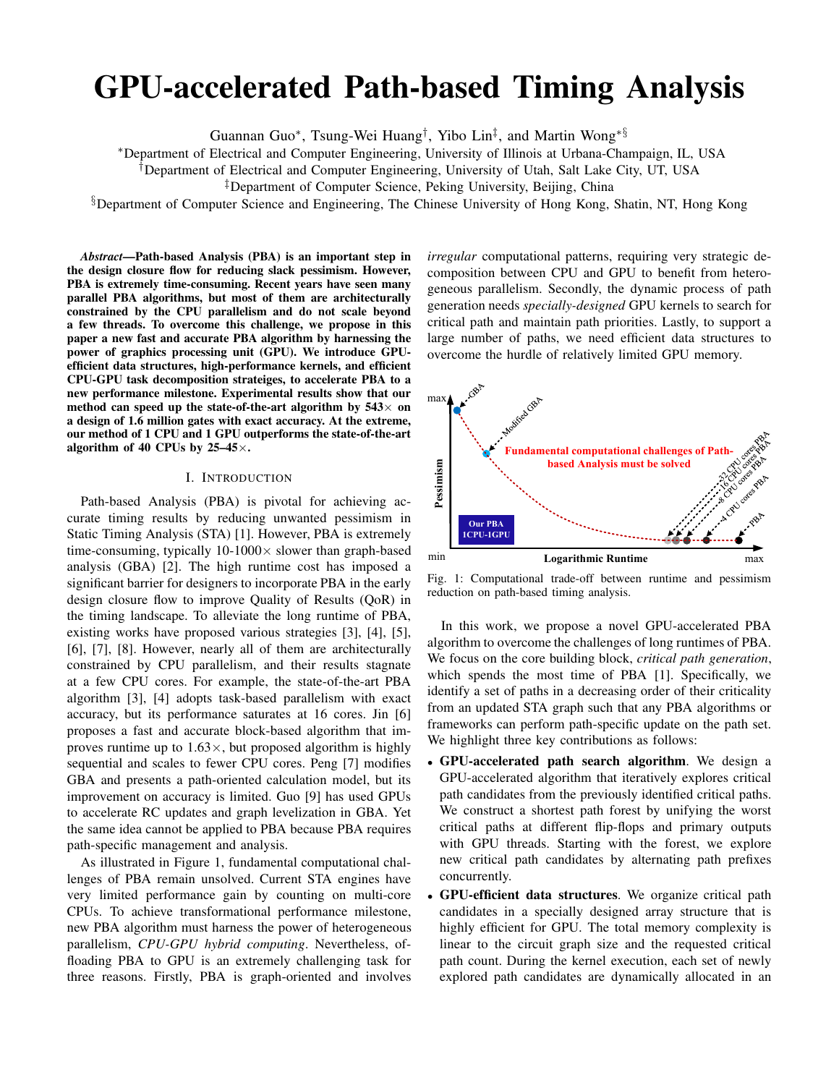# GPU-accelerated Path-based Timing Analysis

Guannan Guo<sup>∗</sup>, Tsung-Wei Huang<sup>†</sup>, Yibo Lin<sup>‡</sup>, and Martin Wong<sup>∗§</sup>

<sup>∗</sup>Department of Electrical and Computer Engineering, University of Illinois at Urbana-Champaign, IL, USA

†Department of Electrical and Computer Engineering, University of Utah, Salt Lake City, UT, USA

‡Department of Computer Science, Peking University, Beijing, China

§Department of Computer Science and Engineering, The Chinese University of Hong Kong, Shatin, NT, Hong Kong

*Abstract*—Path-based Analysis (PBA) is an important step in the design closure flow for reducing slack pessimism. However, PBA is extremely time-consuming. Recent years have seen many parallel PBA algorithms, but most of them are architecturally constrained by the CPU parallelism and do not scale beyond a few threads. To overcome this challenge, we propose in this paper a new fast and accurate PBA algorithm by harnessing the power of graphics processing unit (GPU). We introduce GPUefficient data structures, high-performance kernels, and efficient CPU-GPU task decomposition strateiges, to accelerate PBA to a new performance milestone. Experimental results show that our method can speed up the state-of-the-art algorithm by  $543\times$  on a design of 1.6 million gates with exact accuracy. At the extreme, our method of 1 CPU and 1 GPU outperforms the state-of-the-art algorithm of 40 CPUs by  $25-45\times$ .

## I. INTRODUCTION

Path-based Analysis (PBA) is pivotal for achieving accurate timing results by reducing unwanted pessimism in Static Timing Analysis (STA) [1]. However, PBA is extremely time-consuming, typically  $10-1000 \times$  slower than graph-based analysis (GBA) [2]. The high runtime cost has imposed a significant barrier for designers to incorporate PBA in the early design closure flow to improve Quality of Results (QoR) in the timing landscape. To alleviate the long runtime of PBA, existing works have proposed various strategies [3], [4], [5], [6], [7], [8]. However, nearly all of them are architecturally constrained by CPU parallelism, and their results stagnate at a few CPU cores. For example, the state-of-the-art PBA algorithm [3], [4] adopts task-based parallelism with exact accuracy, but its performance saturates at 16 cores. Jin [6] proposes a fast and accurate block-based algorithm that improves runtime up to  $1.63\times$ , but proposed algorithm is highly sequential and scales to fewer CPU cores. Peng [7] modifies GBA and presents a path-oriented calculation model, but its improvement on accuracy is limited. Guo [9] has used GPUs to accelerate RC updates and graph levelization in GBA. Yet the same idea cannot be applied to PBA because PBA requires path-specific management and analysis.

As illustrated in Figure 1, fundamental computational challenges of PBA remain unsolved. Current STA engines have very limited performance gain by counting on multi-core CPUs. To achieve transformational performance milestone, new PBA algorithm must harness the power of heterogeneous parallelism, *CPU-GPU hybrid computing*. Nevertheless, offloading PBA to GPU is an extremely challenging task for three reasons. Firstly, PBA is graph-oriented and involves

*irregular* computational patterns, requiring very strategic decomposition between CPU and GPU to benefit from heterogeneous parallelism. Secondly, the dynamic process of path generation needs *specially-designed* GPU kernels to search for critical path and maintain path priorities. Lastly, to support a large number of paths, we need efficient data structures to overcome the hurdle of relatively limited GPU memory.



Fig. 1: Computational trade-off between runtime and pessimism reduction on path-based timing analysis.

In this work, we propose a novel GPU-accelerated PBA algorithm to overcome the challenges of long runtimes of PBA. We focus on the core building block, *critical path generation*, which spends the most time of PBA [1]. Specifically, we identify a set of paths in a decreasing order of their criticality from an updated STA graph such that any PBA algorithms or frameworks can perform path-specific update on the path set. We highlight three key contributions as follows:

- GPU-accelerated path search algorithm. We design a GPU-accelerated algorithm that iteratively explores critical path candidates from the previously identified critical paths. We construct a shortest path forest by unifying the worst critical paths at different flip-flops and primary outputs with GPU threads. Starting with the forest, we explore new critical path candidates by alternating path prefixes concurrently.
- GPU-efficient data structures. We organize critical path candidates in a specially designed array structure that is highly efficient for GPU. The total memory complexity is linear to the circuit graph size and the requested critical path count. During the kernel execution, each set of newly explored path candidates are dynamically allocated in an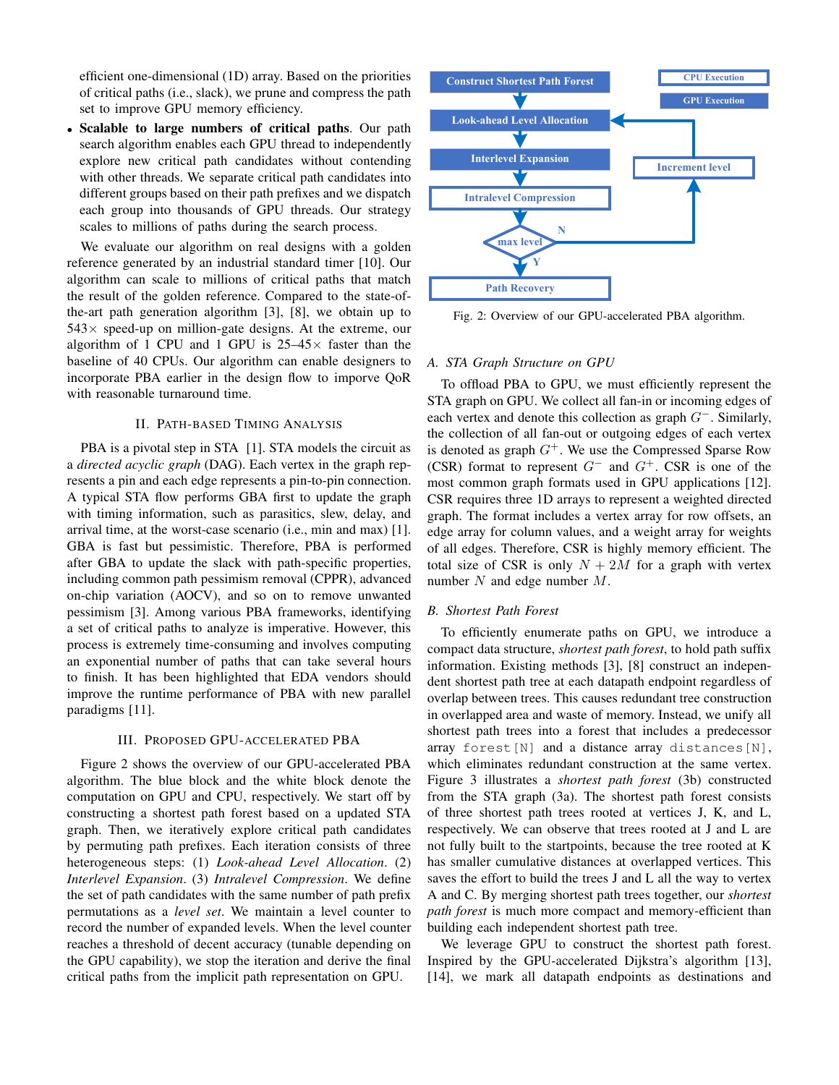efficient one-dimensional (1D) array. Based on the priorities of critical paths (i.e., slack), we prune and compress the path set to improve GPU memory efficiency.

Scalable to large numbers of critical paths. Our path search algorithm enables each GPU thread to independently explore new critical path candidates without contending with other threads. We separate critical path candidates into different groups based on their path prefixes and we dispatch each group into thousands of GPU threads. Our strategy scales to millions of paths during the search process.

We evaluate our algorithm on real designs with a golden reference generated by an industrial standard timer [10]. Our algorithm can scale to millions of critical paths that match the result of the golden reference. Compared to the state-ofthe-art path generation algorithm [3], [8], we obtain up to  $543\times$  speed-up on million-gate designs. At the extreme, our algorithm of 1 CPU and 1 GPU is  $25-45\times$  faster than the baseline of 40 CPUs. Our algorithm can enable designers to incorporate PBA earlier in the design flow to imporve QoR with reasonable turnaround time.

## II. PATH-BASED TIMING ANALYSIS

PBA is a pivotal step in STA [1]. STA models the circuit as a *directed acyclic graph* (DAG). Each vertex in the graph represents a pin and each edge represents a pin-to-pin connection. A typical STA flow performs GBA first to update the graph with timing information, such as parasitics, slew, delay, and arrival time, at the worst-case scenario (i.e., min and max) [1]. GBA is fast but pessimistic. Therefore, PBA is performed after GBA to update the slack with path-specific properties, including common path pessimism removal (CPPR), advanced on-chip variation (AOCV), and so on to remove unwanted pessimism [3]. Among various PBA frameworks, identifying a set of critical paths to analyze is imperative. However, this process is extremely time-consuming and involves computing an exponential number of paths that can take several hours to finish. It has been highlighted that EDA vendors should improve the runtime performance of PBA with new parallel paradigms [11].

### III. PROPOSED GPU-ACCELERATED PBA

Figure 2 shows the overview of our GPU-accelerated PBA algorithm. The blue block and the white block denote the computation on GPU and CPU, respectively. We start off by constructing a shortest path forest based on a updated STA graph. Then, we iteratively explore critical path candidates by permuting path prefixes. Each iteration consists of three heterogeneous steps: (1) *Look-ahead Level Allocation*. (2) *Interlevel Expansion*. (3) *Intralevel Compression*. We define the set of path candidates with the same number of path prefix permutations as a *level set*. We maintain a level counter to record the number of expanded levels. When the level counter reaches a threshold of decent accuracy (tunable depending on the GPU capability), we stop the iteration and derive the final critical paths from the implicit path representation on GPU.



Fig. 2: Overview of our GPU-accelerated PBA algorithm.

#### *A. STA Graph Structure on GPU*

To offload PBA to GPU, we must efficiently represent the STA graph on GPU. We collect all fan-in or incoming edges of each vertex and denote this collection as graph  $G^-$ . Similarly, the collection of all fan-out or outgoing edges of each vertex is denoted as graph  $G^+$ . We use the Compressed Sparse Row (CSR) format to represent  $G^-$  and  $G^+$ . CSR is one of the most common graph formats used in GPU applications [12]. CSR requires three 1D arrays to represent a weighted directed graph. The format includes a vertex array for row offsets, an edge array for column values, and a weight array for weights of all edges. Therefore, CSR is highly memory efficient. The total size of CSR is only  $N + 2M$  for a graph with vertex number  $N$  and edge number  $M$ .

## *B. Shortest Path Forest*

To efficiently enumerate paths on GPU, we introduce a compact data structure, *shortest path forest*, to hold path suffix information. Existing methods [3], [8] construct an independent shortest path tree at each datapath endpoint regardless of overlap between trees. This causes redundant tree construction in overlapped area and waste of memory. Instead, we unify all shortest path trees into a forest that includes a predecessor array forest[N] and a distance array distances[N], which eliminates redundant construction at the same vertex. Figure 3 illustrates a *shortest path forest* (3b) constructed from the STA graph (3a). The shortest path forest consists of three shortest path trees rooted at vertices J, K, and L, respectively. We can observe that trees rooted at J and L are not fully built to the startpoints, because the tree rooted at K has smaller cumulative distances at overlapped vertices. This saves the effort to build the trees J and L all the way to vertex A and C. By merging shortest path trees together, our *shortest path forest* is much more compact and memory-efficient than building each independent shortest path tree.

We leverage GPU to construct the shortest path forest. Inspired by the GPU-accelerated Dijkstra's algorithm [13], [14], we mark all datapath endpoints as destinations and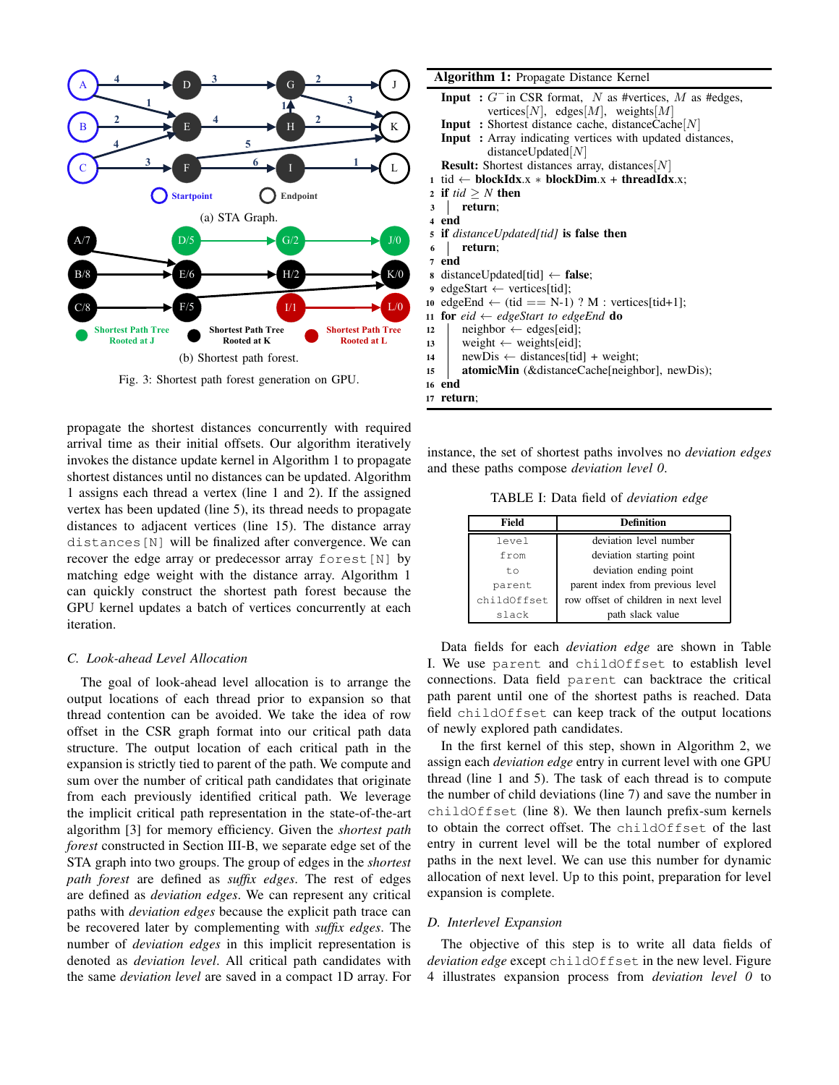

Fig. 3: Shortest path forest generation on GPU.

propagate the shortest distances concurrently with required arrival time as their initial offsets. Our algorithm iteratively invokes the distance update kernel in Algorithm 1 to propagate shortest distances until no distances can be updated. Algorithm 1 assigns each thread a vertex (line 1 and 2). If the assigned vertex has been updated (line 5), its thread needs to propagate distances to adjacent vertices (line 15). The distance array distances[N] will be finalized after convergence. We can recover the edge array or predecessor array forest[N] by matching edge weight with the distance array. Algorithm 1 can quickly construct the shortest path forest because the GPU kernel updates a batch of vertices concurrently at each iteration.

#### *C. Look-ahead Level Allocation*

The goal of look-ahead level allocation is to arrange the output locations of each thread prior to expansion so that thread contention can be avoided. We take the idea of row offset in the CSR graph format into our critical path data structure. The output location of each critical path in the expansion is strictly tied to parent of the path. We compute and sum over the number of critical path candidates that originate from each previously identified critical path. We leverage the implicit critical path representation in the state-of-the-art algorithm [3] for memory efficiency. Given the *shortest path forest* constructed in Section III-B, we separate edge set of the STA graph into two groups. The group of edges in the *shortest path forest* are defined as *suffix edges*. The rest of edges are defined as *deviation edges*. We can represent any critical paths with *deviation edges* because the explicit path trace can be recovered later by complementing with *suffix edges*. The number of *deviation edges* in this implicit representation is denoted as *deviation level*. All critical path candidates with the same *deviation level* are saved in a compact 1D array. For

| <b>Algorithm 1:</b> Propagate Distance Kernel                                                            |  |  |  |  |  |  |  |  |
|----------------------------------------------------------------------------------------------------------|--|--|--|--|--|--|--|--|
| <b>Input</b> : $G^-$ in CSR format, N as #vertices, M as #edges,<br>vertices [N], edges [M], weights [M] |  |  |  |  |  |  |  |  |
| <b>Input</b> : Shortest distance cache, distance Cache $[N]$                                             |  |  |  |  |  |  |  |  |
| <b>Input</b> : Array indicating vertices with updated distances,                                         |  |  |  |  |  |  |  |  |
| distanceUpdated $[N]$                                                                                    |  |  |  |  |  |  |  |  |
| <b>Result:</b> Shortest distances array, distances $[N]$                                                 |  |  |  |  |  |  |  |  |
| 1 tid $\leftarrow$ blockIdx.x $*$ blockDim.x + threadIdx.x;                                              |  |  |  |  |  |  |  |  |
| 2 if $tid \geq N$ then                                                                                   |  |  |  |  |  |  |  |  |
| return;<br>3                                                                                             |  |  |  |  |  |  |  |  |
| 4 end                                                                                                    |  |  |  |  |  |  |  |  |
| 5 if <i>distanceUpdated[tid]</i> is false then                                                           |  |  |  |  |  |  |  |  |
| return;<br>6                                                                                             |  |  |  |  |  |  |  |  |
| 7 end                                                                                                    |  |  |  |  |  |  |  |  |
| <b>s</b> distance Updated [tid] $\leftarrow$ <b>false</b> ;                                              |  |  |  |  |  |  |  |  |
| 9 edgeStart $\leftarrow$ vertices[tid];                                                                  |  |  |  |  |  |  |  |  |
| 10 edgeEnd $\leftarrow$ (tid == N-1) ? M : vertices[tid+1];                                              |  |  |  |  |  |  |  |  |
| 11 <b>for</b> eid $\leftarrow$ edgeStart to edgeEnd <b>do</b>                                            |  |  |  |  |  |  |  |  |
| $neighbor \leftarrow edges[eid];$<br>12                                                                  |  |  |  |  |  |  |  |  |
| weight $\leftarrow$ weights[eid];<br>$13 \quad \Box$                                                     |  |  |  |  |  |  |  |  |
| $newDis \leftarrow distances[\text{tid}] + weight;$<br>14                                                |  |  |  |  |  |  |  |  |
| <b>atomicMin</b> (&distanceCache[neighbor], newDis);<br>15                                               |  |  |  |  |  |  |  |  |
| 16 end                                                                                                   |  |  |  |  |  |  |  |  |
| 17 return;                                                                                               |  |  |  |  |  |  |  |  |

instance, the set of shortest paths involves no *deviation edges* and these paths compose *deviation level 0*.

TABLE I: Data field of *deviation edge*

| Field       | <b>Definition</b>                    |
|-------------|--------------------------------------|
| level       | deviation level number               |
| from        | deviation starting point             |
| t.o         | deviation ending point               |
| parent      | parent index from previous level     |
| childOffset | row offset of children in next level |
| slack       | path slack value                     |

Data fields for each *deviation edge* are shown in Table I. We use parent and childOffset to establish level connections. Data field parent can backtrace the critical path parent until one of the shortest paths is reached. Data field childOffset can keep track of the output locations of newly explored path candidates.

In the first kernel of this step, shown in Algorithm 2, we assign each *deviation edge* entry in current level with one GPU thread (line 1 and 5). The task of each thread is to compute the number of child deviations (line 7) and save the number in childOffset (line 8). We then launch prefix-sum kernels to obtain the correct offset. The childOffset of the last entry in current level will be the total number of explored paths in the next level. We can use this number for dynamic allocation of next level. Up to this point, preparation for level expansion is complete.

#### *D. Interlevel Expansion*

The objective of this step is to write all data fields of *deviation edge* except childOffset in the new level. Figure 4 illustrates expansion process from *deviation level 0* to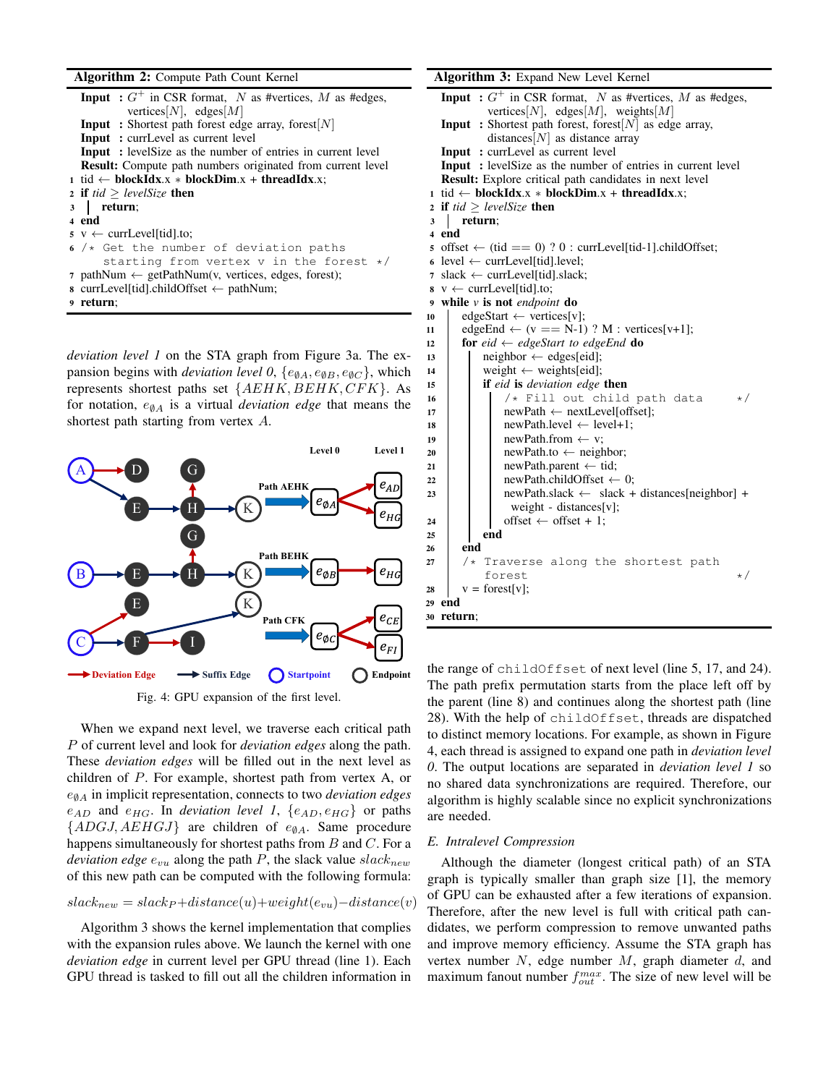#### Algorithm 2: Compute Path Count Kernel

| <b>Input</b> : $G^+$ in CSR format, N as #vertices, M as #edges,   |  |  |  |  |  |  |  |  |
|--------------------------------------------------------------------|--|--|--|--|--|--|--|--|
| vertices [N], edges [M]                                            |  |  |  |  |  |  |  |  |
| <b>Input</b> : Shortest path forest edge array, forest $[N]$       |  |  |  |  |  |  |  |  |
| <b>Input</b> : currLevel as current level                          |  |  |  |  |  |  |  |  |
| <b>Input</b> : levelSize as the number of entries in current level |  |  |  |  |  |  |  |  |
| <b>Result:</b> Compute path numbers originated from current level  |  |  |  |  |  |  |  |  |
| 1 tid $\leftarrow$ blockIdx.x $*$ blockDim.x + threadIdx.x;        |  |  |  |  |  |  |  |  |
| 2 if tid $>$ levelSize then                                        |  |  |  |  |  |  |  |  |
| $3$   return;                                                      |  |  |  |  |  |  |  |  |
| 4 end                                                              |  |  |  |  |  |  |  |  |
| $5 \text{ v} \leftarrow \text{currLevel}[\text{tid}].\text{to};$   |  |  |  |  |  |  |  |  |
| $6$ /* Get the number of deviation paths                           |  |  |  |  |  |  |  |  |
| starting from vertex $v$ in the forest $*/$                        |  |  |  |  |  |  |  |  |
| 7 pathNum $\leftarrow$ getPathNum(v, vertices, edges, forest);     |  |  |  |  |  |  |  |  |
| $\alpha$ currLevel[tid].childOffset $\leftarrow$ pathNum;          |  |  |  |  |  |  |  |  |
| 9 return;                                                          |  |  |  |  |  |  |  |  |

*deviation level 1* on the STA graph from Figure 3a. The expansion begins with *deviation level 0*,  $\{e_{\emptyset A}, e_{\emptyset B}, e_{\emptyset C}\}$ , which represents shortest paths set  ${AEHK, BEHK, CFK}$ . As for notation,  $e_{\emptyset A}$  is a virtual *deviation edge* that means the shortest path starting from vertex A.



Fig. 4: GPU expansion of the first level.

When we expand next level, we traverse each critical path P of current level and look for *deviation edges* along the path. These *deviation edges* will be filled out in the next level as children of P. For example, shortest path from vertex A, or e∅<sup>A</sup> in implicit representation, connects to two *deviation edges*  $e_{AD}$  and  $e_{HG}$ . In *deviation level 1*,  $\{e_{AD}, e_{HG}\}$  or paths  ${ADGJ, AEHGJ}$  are children of  $e_{0A}$ . Same procedure happens simultaneously for shortest paths from  $B$  and  $C$ . For a *deviation edge*  $e_{vu}$  along the path P, the slack value  $slack_{new}$ of this new path can be computed with the following formula:

## $slack_{new} = slack_P + distance(u) + weight(e_{vu}) - distance(v)$

Algorithm 3 shows the kernel implementation that complies with the expansion rules above. We launch the kernel with one *deviation edge* in current level per GPU thread (line 1). Each GPU thread is tasked to fill out all the children information in

Algorithm 3: Expand New Level Kernel **Input** :  $G^+$  in CSR format, N as #vertices, M as #edges, vertices[N], edges[M], weights[M] **Input** : Shortest path forest, forest $[N]$  as edge array, distances $[N]$  as distance array Input : currLevel as current level Input : levelSize as the number of entries in current level Result: Explore critical path candidates in next level 1 tid ← blockIdx.x \* blockDim.x + threadIdx.x; <sup>2</sup> if *tid* ≥ *levelSize* then <sup>3</sup> return; <sup>4</sup> end 5 offset  $\leftarrow$  (tid == 0) ? 0 : currLevel[tid-1].childOffset; 6 level  $\leftarrow$  currLevel[tid].level; 7 slack  $\leftarrow$  currLevel[tid].slack;  $8 \text{ v} \leftarrow \text{currLevel}[\text{tid}].\text{to};$ <sup>9</sup> while *v* is not *endpoint* do 10 edgeStart  $\leftarrow$  vertices[v]; 11 edgeEnd  $\leftarrow$  (v == N-1) ? M : vertices[v+1]; 12 **for**  $eid \leftarrow edgeStart$  to edgeEnd **do** 13 | neighbor  $\leftarrow$  edges[eid]; 14 weight  $\leftarrow$  weights[eid]; <sup>15</sup> if *eid* is *deviation edge* then 16  $\vert$  /\* Fill out child path data \*/<br>17 newPath  $\leftarrow$  nextLevel[offset];  $newPath \leftarrow nextLevel[offset];$ 18 | | newPath.level  $\leftarrow$  level+1; 19 | newPath.from  $\leftarrow$  v; 20 newPath.to  $\leftarrow$  neighbor; 21 | newPath.parent  $\leftarrow$  tid; 22 | newPath.childOffset  $\leftarrow 0$ ;  $23$  | | newPath.slack  $\leftarrow$  slack + distances[neighbor] + weight - distances[v]; 24 offset  $\leftarrow$  offset + 1;  $25$  end <sup>26</sup> end  $27$  /\* Traverse along the shortest path forest  $\star/$ 28  $v = forest[v]$ ; <sup>29</sup> end <sup>30</sup> return;

the range of childOffset of next level (line 5, 17, and 24). The path prefix permutation starts from the place left off by the parent (line 8) and continues along the shortest path (line 28). With the help of childOffset, threads are dispatched to distinct memory locations. For example, as shown in Figure 4, each thread is assigned to expand one path in *deviation level 0*. The output locations are separated in *deviation level 1* so no shared data synchronizations are required. Therefore, our algorithm is highly scalable since no explicit synchronizations are needed.

### *E. Intralevel Compression*

Although the diameter (longest critical path) of an STA graph is typically smaller than graph size [1], the memory of GPU can be exhausted after a few iterations of expansion. Therefore, after the new level is full with critical path candidates, we perform compression to remove unwanted paths and improve memory efficiency. Assume the STA graph has vertex number  $N$ , edge number  $M$ , graph diameter  $d$ , and maximum fanout number  $f_{out}^{max}$ . The size of new level will be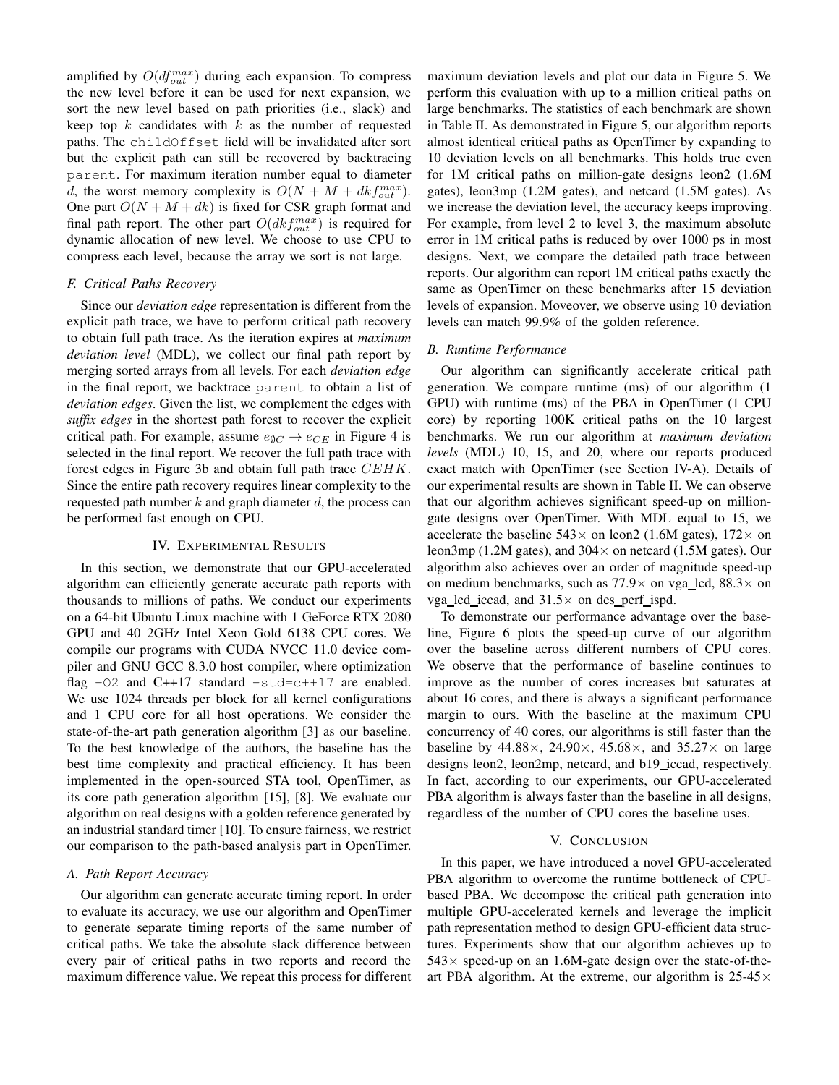amplified by  $O(df_{out}^{max})$  during each expansion. To compress the new level before it can be used for next expansion, we sort the new level based on path priorities (i.e., slack) and keep top  $k$  candidates with  $k$  as the number of requested paths. The childOffset field will be invalidated after sort but the explicit path can still be recovered by backtracing parent. For maximum iteration number equal to diameter d, the worst memory complexity is  $O(N + M + dk f_{out}^{max})$ . One part  $O(N + M + dk)$  is fixed for CSR graph format and final path report. The other part  $O(dkf_{out}^{max})$  is required for dynamic allocation of new level. We choose to use CPU to compress each level, because the array we sort is not large.

## *F. Critical Paths Recovery*

Since our *deviation edge* representation is different from the explicit path trace, we have to perform critical path recovery to obtain full path trace. As the iteration expires at *maximum deviation level* (MDL), we collect our final path report by merging sorted arrays from all levels. For each *deviation edge* in the final report, we backtrace parent to obtain a list of *deviation edges*. Given the list, we complement the edges with *suffix edges* in the shortest path forest to recover the explicit critical path. For example, assume  $e_{\emptyset C} \rightarrow e_{CE}$  in Figure 4 is selected in the final report. We recover the full path trace with forest edges in Figure 3b and obtain full path trace CEHK. Since the entire path recovery requires linear complexity to the requested path number  $k$  and graph diameter  $d$ , the process can be performed fast enough on CPU.

## IV. EXPERIMENTAL RESULTS

In this section, we demonstrate that our GPU-accelerated algorithm can efficiently generate accurate path reports with thousands to millions of paths. We conduct our experiments on a 64-bit Ubuntu Linux machine with 1 GeForce RTX 2080 GPU and 40 2GHz Intel Xeon Gold 6138 CPU cores. We compile our programs with CUDA NVCC 11.0 device compiler and GNU GCC 8.3.0 host compiler, where optimization flag  $-02$  and  $C++17$  standard  $-std=c++17$  are enabled. We use 1024 threads per block for all kernel configurations and 1 CPU core for all host operations. We consider the state-of-the-art path generation algorithm [3] as our baseline. To the best knowledge of the authors, the baseline has the best time complexity and practical efficiency. It has been implemented in the open-sourced STA tool, OpenTimer, as its core path generation algorithm [15], [8]. We evaluate our algorithm on real designs with a golden reference generated by an industrial standard timer [10]. To ensure fairness, we restrict our comparison to the path-based analysis part in OpenTimer.

#### *A. Path Report Accuracy*

Our algorithm can generate accurate timing report. In order to evaluate its accuracy, we use our algorithm and OpenTimer to generate separate timing reports of the same number of critical paths. We take the absolute slack difference between every pair of critical paths in two reports and record the maximum difference value. We repeat this process for different maximum deviation levels and plot our data in Figure 5. We perform this evaluation with up to a million critical paths on large benchmarks. The statistics of each benchmark are shown in Table II. As demonstrated in Figure 5, our algorithm reports almost identical critical paths as OpenTimer by expanding to 10 deviation levels on all benchmarks. This holds true even for 1M critical paths on million-gate designs leon2 (1.6M gates), leon3mp (1.2M gates), and netcard (1.5M gates). As we increase the deviation level, the accuracy keeps improving. For example, from level 2 to level 3, the maximum absolute error in 1M critical paths is reduced by over 1000 ps in most designs. Next, we compare the detailed path trace between reports. Our algorithm can report 1M critical paths exactly the same as OpenTimer on these benchmarks after 15 deviation levels of expansion. Moveover, we observe using 10 deviation levels can match 99.9% of the golden reference.

#### *B. Runtime Performance*

Our algorithm can significantly accelerate critical path generation. We compare runtime (ms) of our algorithm (1 GPU) with runtime (ms) of the PBA in OpenTimer (1 CPU core) by reporting 100K critical paths on the 10 largest benchmarks. We run our algorithm at *maximum deviation levels* (MDL) 10, 15, and 20, where our reports produced exact match with OpenTimer (see Section IV-A). Details of our experimental results are shown in Table II. We can observe that our algorithm achieves significant speed-up on milliongate designs over OpenTimer. With MDL equal to 15, we accelerate the baseline  $543\times$  on leon2 (1.6M gates),  $172\times$  on leon3mp (1.2M gates), and  $304 \times$  on netcard (1.5M gates). Our algorithm also achieves over an order of magnitude speed-up on medium benchmarks, such as  $77.9 \times$  on vga\_lcd,  $88.3 \times$  on vga lcd iccad, and  $31.5\times$  on des perf ispd.

To demonstrate our performance advantage over the baseline, Figure 6 plots the speed-up curve of our algorithm over the baseline across different numbers of CPU cores. We observe that the performance of baseline continues to improve as the number of cores increases but saturates at about 16 cores, and there is always a significant performance margin to ours. With the baseline at the maximum CPU concurrency of 40 cores, our algorithms is still faster than the baseline by  $44.88 \times$ ,  $24.90 \times$ ,  $45.68 \times$ , and  $35.27 \times$  on large designs leon2, leon2mp, netcard, and b19\_iccad, respectively. In fact, according to our experiments, our GPU-accelerated PBA algorithm is always faster than the baseline in all designs, regardless of the number of CPU cores the baseline uses.

## V. CONCLUSION

In this paper, we have introduced a novel GPU-accelerated PBA algorithm to overcome the runtime bottleneck of CPUbased PBA. We decompose the critical path generation into multiple GPU-accelerated kernels and leverage the implicit path representation method to design GPU-efficient data structures. Experiments show that our algorithm achieves up to  $543\times$  speed-up on an 1.6M-gate design over the state-of-theart PBA algorithm. At the extreme, our algorithm is  $25-45\times$